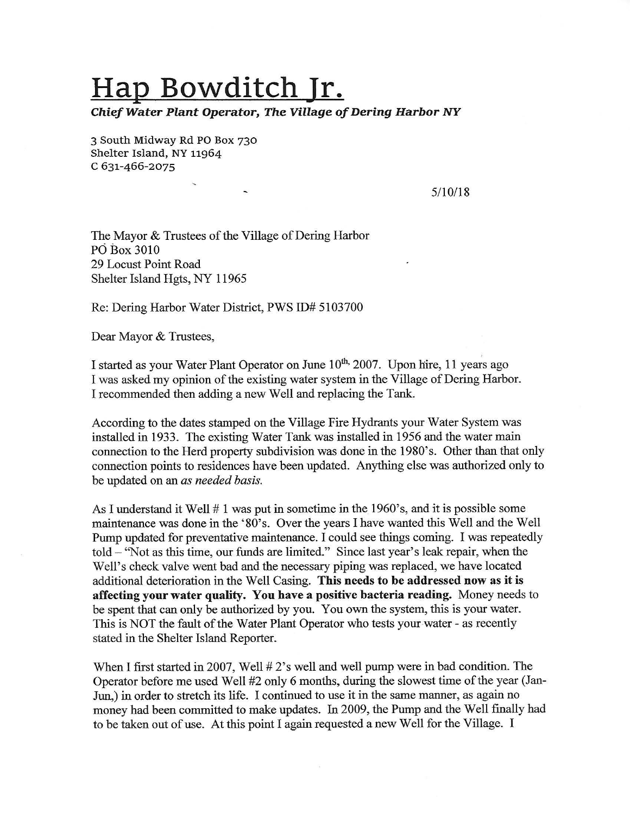## **Hap Bowditch Jr.**

*Chief Water Plant Operator, The Village of Dering* **Harbor** *NY* 

3 South Midway Rd PO Box 730 Shelter Island, NY 11964 C 631-466-2075

5/10/18

The Mayor & Trustees of the Village of Dering Harbor Pd Box 3010 29 Locust Point Road Shelter Island Hgts, NY 11965

 $\overline{\phantom{a}}$ 

Re: Dering Harbor Water District, PWS ID# 5103700

Dear Mayor & Trustees,

I started as your Water Plant Operator on June 10<sup>th,</sup> 2007. Upon hire, 11 years ago I was asked my opinion of the existing water system in the Village of Dering Harbor. I recommended then adding a new Well and replacing the Tank.

According to the dates stamped on the Village Fire Hydrants your Water System was installed in 1933. The existing Water Tank was installed in 1956 and the water main connection to the Herd property subdivision was done in the 1980's. Other than that only connection points to residences have been updated. Anything else was authorized only to be updated on an *as needed basis.* 

As I understand it Well  $# 1$  was put in sometime in the 1960's, and it is possible some maintenance was done in the '80's. Over the years I have wanted this Well and the Well Pump updated for preventative maintenance. I could see things coming. I was repeatedly told - "Not as this time, our funds are limited." Since last year's leak repair, when the Well's check valve went bad and the necessary piping was replaced, we have located additional deterioration in the Well Casing. **This needs to be addressed now as it is affecting your water quality. You have a positive bacteria reading.** Money needs to be spent that can only be authorized by you. You own the system, this is your water. This is NOT the fault of the Water Plant Operator who tests your water - as recently stated in the Shelter Island Reporter.

When I first started in 2007, Well  $# 2$ 's well and well pump were in bad condition. The Operator before me used Well #2 only 6 months, during the slowest time of the year (Jan-Jun,) in order to stretch its life. I continued to use it in the same manner, as again no money had been committed to make updates. In 2009, the Pump and the Well finally had to be taken out of use. At this point I again requested a new Well for the Village. I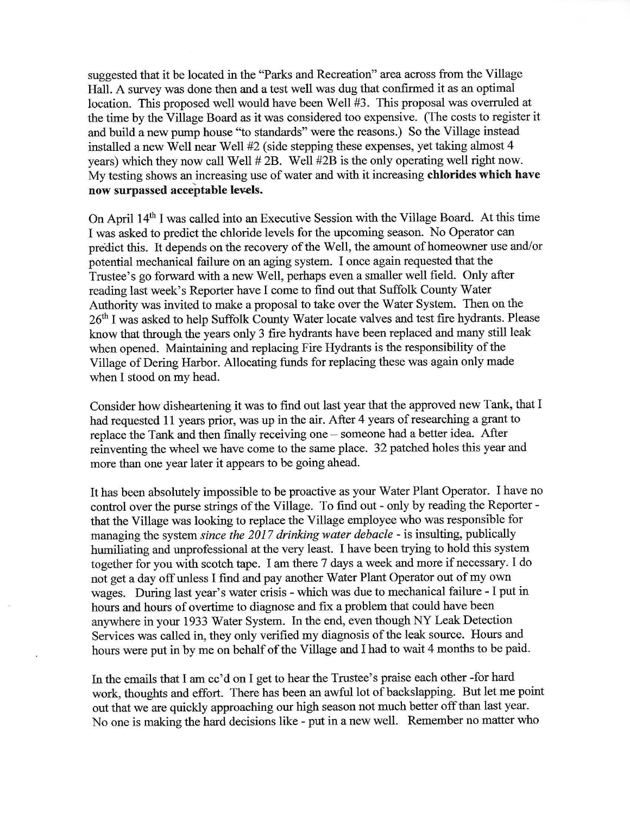suggested that it be located in the "Parks and Recreation" area across from the Village Hall. A survey was done then and a test well was dug that confirmed it as an optimal location. This proposed well would have been Well #3. This proposal was overruled at the time by the Village Board as it was considered too expensive. (The costs to register it and build a new pump house "to standards" were the reasons.) So the Village instead installed a new Well near Well #2 ( side stepping these expenses, yet taking almost 4 years) which they now call Well #2B. Well #2B is the only operating well right now. My testing shows an increasing use of water and with it increasing **chlorides which have now surpassed acceptable levels.** 

On April 14th I was called into an Executive Session with the Village Board. At this time I was asked to predict the chloride levels for the upcoming season. No Operator can predict this. It depends on the recovery of the Well, the amount of homeowner use and/or potential mechanical failure on an aging system. I once again requested that the Trustee's go forward with a new Well, perhaps even a smaller well field. Only after reading last week's Reporter have I come to find out that Suffolk County Water Authority was invited to make a proposal to take over the Water System. Then on the 26th I was asked to help Suffolk County Water locate valves and test fire hydrants. Please know that through the years only 3 fire hydrants have been replaced and many still leak when opened. Maintaining and replacing Fire Hydrants is the responsibility of the Village of Dering Harbor. Allocating funds for replacing these was again only made when I stood on my head.

Consider how disheartening it was to find out last year that the approved new Tank, that I had requested 11 years prior, was up in the air. After 4 years of researching a grant to replace the Tank and then finally receiving one - someone had a better idea. After reinventing the wheel we have come to the same place. 32 patched holes this year and more than one year later it appears to be going ahead.

It has been absolutely impossible to be proactive as your Water Plant Operator. I have no control over the purse strings of the Village. To find out - only by reading the Reporter that the Village was looking to replace the Village employee who was responsible for managing the system *since the 2017 drinking water debacle* - is insulting, publically humiliating and unprofessional at the very least. I have been trying to hold this system together for you with scotch tape. I am there 7 days a week and more if necessary. I do not get a day off unless I find and pay another Water Plant Operator out of my own wages. During last year's water crisis - which was due to mechanical failure - I put in hours and hours of overtime to diagnose and fix a problem that could have been anywhere in your 1933 Water System. In the end, even though NY Leak Detection Services was called in, they only verified my diagnosis of the leak source. Hours and hours were put in by me on behalf of the Village and I had to wait 4 months to be paid.

In the emails that I am cc'd on I get to hear the Trustee's praise each other -for hard work, thoughts and effort. There has been an awful lot of backslapping. But let me point out that we are quickly approaching our high season not much better off than last year. No one is making the hard decisions like - put in a new well. Remember no matter who